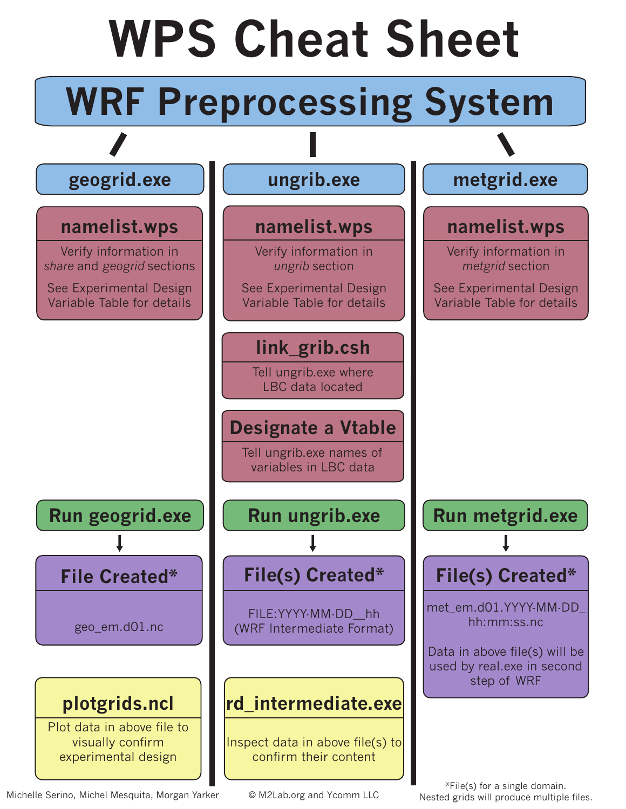

Michelle Serino, Michel Mesquita, Morgan Yarker © M2Lab.org and Ycomm LLC Nested grids will produce multiple files.

\*File(s) for a single domain.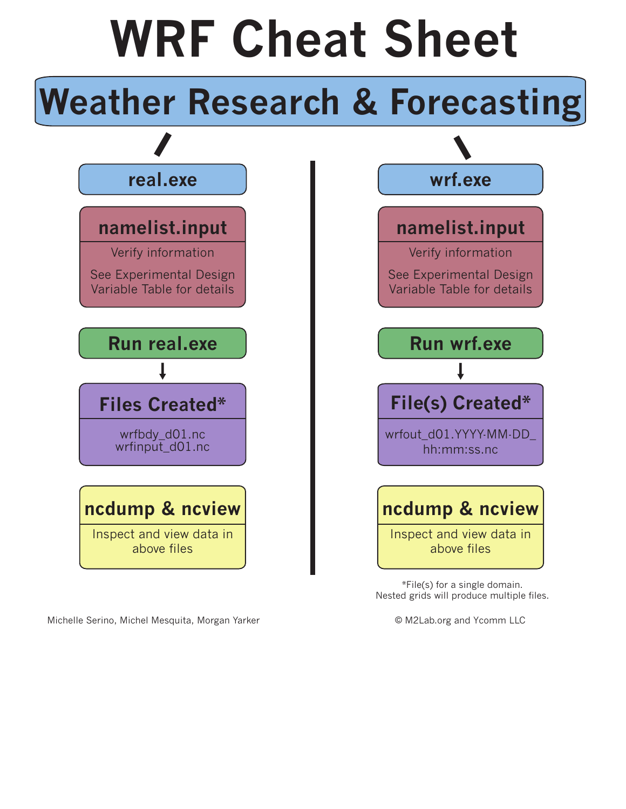## **WRF Cheat Sheet**

#### **Weather Research & Forecasting**



Michelle Serino, Michel Mesquita, Morgan Yarker © M2Lab.org and Ycomm LLC



\*File(s) for a single domain. Nested grids will produce multiple files.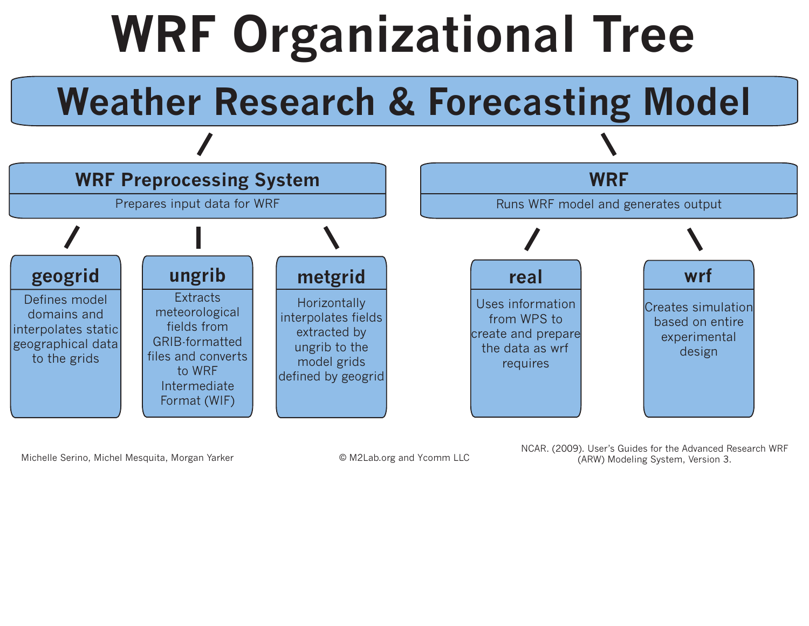# **WRF Organizational Tree**

### **Weather Research & Forecasting Model**



Michelle Serino, Michel Mesquita, Morgan Yarker © M2Lab.org and Ycomm LLC

NCAR. (2009). User's Guides for the Advanced Research WRF (ARW) Modeling System, Version 3.